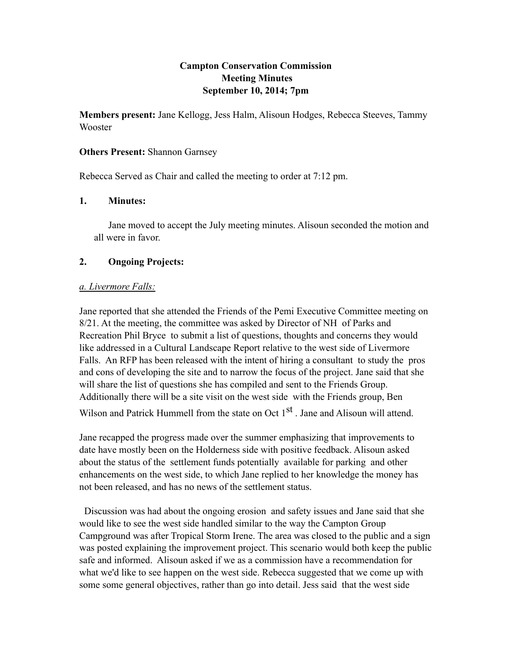## **Campton Conservation Commission Meeting Minutes September 10, 2014; 7pm**

**Members present:** Jane Kellogg, Jess Halm, Alisoun Hodges, Rebecca Steeves, Tammy Wooster

#### **Others Present:** Shannon Garnsey

Rebecca Served as Chair and called the meeting to order at 7:12 pm.

#### **1. Minutes:**

Jane moved to accept the July meeting minutes. Alisoun seconded the motion and all were in favor.

### **2. Ongoing Projects:**

### *a. Livermore Falls:*

Jane reported that she attended the Friends of the Pemi Executive Committee meeting on 8/21. At the meeting, the committee was asked by Director of NH of Parks and Recreation Phil Bryce to submit a list of questions, thoughts and concerns they would like addressed in a Cultural Landscape Report relative to the west side of Livermore Falls. An RFP has been released with the intent of hiring a consultant to study the pros and cons of developing the site and to narrow the focus of the project. Jane said that she will share the list of questions she has compiled and sent to the Friends Group. Additionally there will be a site visit on the west side with the Friends group, Ben

Wilson and Patrick Hummell from the state on Oct 1<sup>st</sup>. Jane and Alisoun will attend.

Jane recapped the progress made over the summer emphasizing that improvements to date have mostly been on the Holderness side with positive feedback. Alisoun asked about the status of the settlement funds potentially available for parking and other enhancements on the west side, to which Jane replied to her knowledge the money has not been released, and has no news of the settlement status.

 Discussion was had about the ongoing erosion and safety issues and Jane said that she would like to see the west side handled similar to the way the Campton Group Campground was after Tropical Storm Irene. The area was closed to the public and a sign was posted explaining the improvement project. This scenario would both keep the public safe and informed. Alisoun asked if we as a commission have a recommendation for what we'd like to see happen on the west side. Rebecca suggested that we come up with some some general objectives, rather than go into detail. Jess said that the west side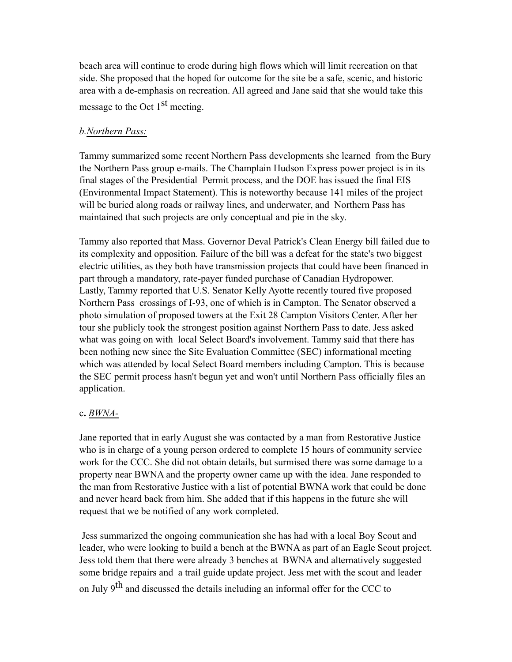beach area will continue to erode during high flows which will limit recreation on that side. She proposed that the hoped for outcome for the site be a safe, scenic, and historic area with a de-emphasis on recreation. All agreed and Jane said that she would take this message to the Oct  $1<sup>st</sup>$  meeting.

### *b.Northern Pass:*

Tammy summarized some recent Northern Pass developments she learned from the Bury the Northern Pass group e-mails. The Champlain Hudson Express power project is in its final stages of the Presidential Permit process, and the DOE has issued the final EIS (Environmental Impact Statement). This is noteworthy because 141 miles of the project will be buried along roads or railway lines, and underwater, and Northern Pass has maintained that such projects are only conceptual and pie in the sky.

Tammy also reported that Mass. Governor Deval Patrick's Clean Energy bill failed due to its complexity and opposition. Failure of the bill was a defeat for the state's two biggest electric utilities, as they both have transmission projects that could have been financed in part through a mandatory, rate-payer funded purchase of Canadian Hydropower. Lastly, Tammy reported that U.S. Senator Kelly Ayotte recently toured five proposed Northern Pass crossings of I-93, one of which is in Campton. The Senator observed a photo simulation of proposed towers at the Exit 28 Campton Visitors Center. After her tour she publicly took the strongest position against Northern Pass to date. Jess asked what was going on with local Select Board's involvement. Tammy said that there has been nothing new since the Site Evaluation Committee (SEC) informational meeting which was attended by local Select Board members including Campton. This is because the SEC permit process hasn't begun yet and won't until Northern Pass officially files an application.

### c**.** *BWNA-*

Jane reported that in early August she was contacted by a man from Restorative Justice who is in charge of a young person ordered to complete 15 hours of community service work for the CCC. She did not obtain details, but surmised there was some damage to a property near BWNA and the property owner came up with the idea. Jane responded to the man from Restorative Justice with a list of potential BWNA work that could be done and never heard back from him. She added that if this happens in the future she will request that we be notified of any work completed.

 Jess summarized the ongoing communication she has had with a local Boy Scout and leader, who were looking to build a bench at the BWNA as part of an Eagle Scout project. Jess told them that there were already 3 benches at BWNA and alternatively suggested some bridge repairs and a trail guide update project. Jess met with the scout and leader on July  $9<sup>th</sup>$  and discussed the details including an informal offer for the CCC to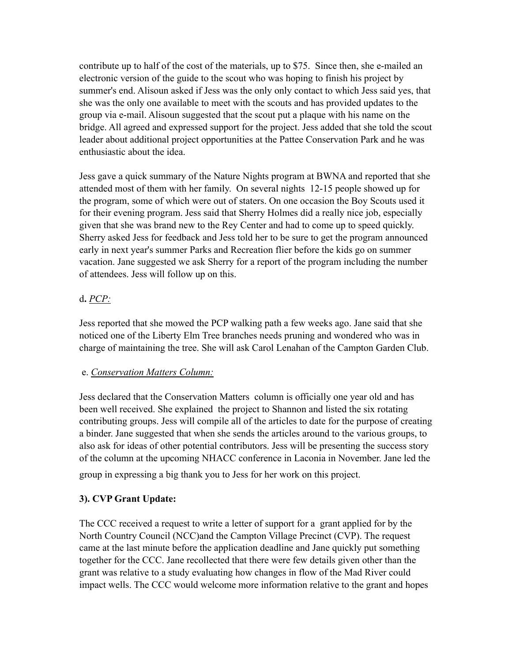contribute up to half of the cost of the materials, up to \$75. Since then, she e-mailed an electronic version of the guide to the scout who was hoping to finish his project by summer's end. Alisoun asked if Jess was the only only contact to which Jess said yes, that she was the only one available to meet with the scouts and has provided updates to the group via e-mail. Alisoun suggested that the scout put a plaque with his name on the bridge. All agreed and expressed support for the project. Jess added that she told the scout leader about additional project opportunities at the Pattee Conservation Park and he was enthusiastic about the idea.

Jess gave a quick summary of the Nature Nights program at BWNA and reported that she attended most of them with her family. On several nights 12-15 people showed up for the program, some of which were out of staters. On one occasion the Boy Scouts used it for their evening program. Jess said that Sherry Holmes did a really nice job, especially given that she was brand new to the Rey Center and had to come up to speed quickly. Sherry asked Jess for feedback and Jess told her to be sure to get the program announced early in next year's summer Parks and Recreation flier before the kids go on summer vacation. Jane suggested we ask Sherry for a report of the program including the number of attendees. Jess will follow up on this.

# d**.** *PCP:*

Jess reported that she mowed the PCP walking path a few weeks ago. Jane said that she noticed one of the Liberty Elm Tree branches needs pruning and wondered who was in charge of maintaining the tree. She will ask Carol Lenahan of the Campton Garden Club.

# e. *Conservation Matters Column:*

Jess declared that the Conservation Matters column is officially one year old and has been well received. She explained the project to Shannon and listed the six rotating contributing groups. Jess will compile all of the articles to date for the purpose of creating a binder. Jane suggested that when she sends the articles around to the various groups, to also ask for ideas of other potential contributors. Jess will be presenting the success story of the column at the upcoming NHACC conference in Laconia in November. Jane led the group in expressing a big thank you to Jess for her work on this project.

# **3). CVP Grant Update:**

The CCC received a request to write a letter of support for a grant applied for by the North Country Council (NCC)and the Campton Village Precinct (CVP). The request came at the last minute before the application deadline and Jane quickly put something together for the CCC. Jane recollected that there were few details given other than the grant was relative to a study evaluating how changes in flow of the Mad River could impact wells. The CCC would welcome more information relative to the grant and hopes